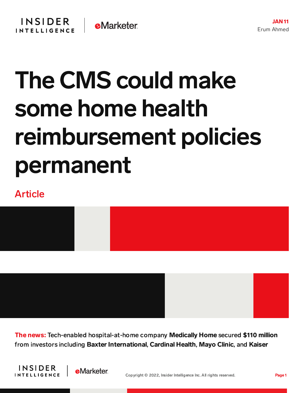## The CMS could make some home health reimbursement policies permanent

## Article



The news: Tech-enabled hospital-at-home company Medically Home secured \$110 million from investors including Baxter International, Cardinal Health, Mayo Clinic, and Kaiser



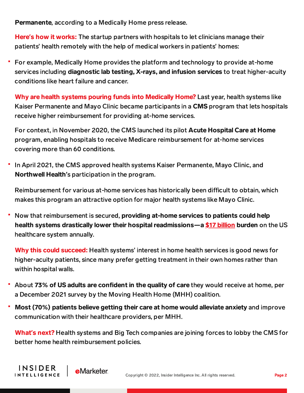Permanente, according to a Medically Home press release.

Here**'**s how it works: The startup partners with hospitals to let clinicians manage their patients' health remotely with the help of medical workers in patients' homes:

For example, Medically Home provides the platform and technology to provide at-home services including diagnostic lab testing, X-rays, and infusion services to treat higher-acuity conditions like heart failure and cancer.

Why are health systems pouring funds into Medically Home? Last year, health systems like Kaiser Permanente and Mayo Clinic became participants in a CMS program that lets hospitals receive higher reimbursement for providing at-home services.

For context, in November 2020, the CMS launched its pilot Acute Hospital Care at Home program, enabling hospitals to receive Medicare reimbursement for at-home services covering more than 60 conditions.

In April 2021, the CMS approved health systems Kaiser Permanente, Mayo Clinic, and Northwell Health**'**s participation in the program.

Reimbursement for various at-home services has historically been difficult to obtain, which makes this program an attractive option for major health systems like Mayo Clinic.

Now that reimbursement is secured, providing at-home services to patients could help health systems drastically lower their hospital readmissions—a \$17 [billion](https://www.ncbi.nlm.nih.gov/pmc/articles/PMC6669363/) burden on the US healthcare system annually.

Why this could succeed: Health systems' interest in home health services is good news for higher-acuity patients, since many prefer getting treatment in their own homes rather than within hospital walls.

- About 73% of US adults are confident in the quality of care they would receive at home, per a December 2021 survey by the Moving Health Home (MHH) coalition.
- Most (70%) patients believe getting their care at home would alleviate anxiety and improve communication with their healthcare providers, per MHH.

What**'**s next? Health systems and Big Tech companies are joining forces to lobby the CMS for better home health reimbursement policies.

INSIDER

**INTELLIGENCE** 

**e**Marketer